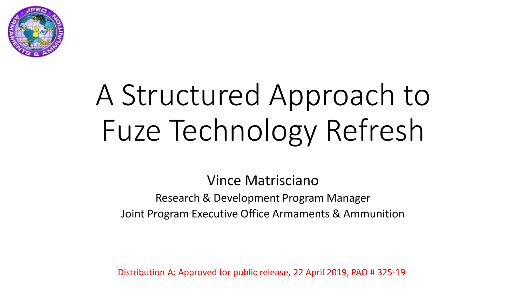

# A Structured Approach to Fuze Technology Refresh

Vince Matrisciano Research & Development Program Manager Joint Program Executive Office Armaments & Ammunition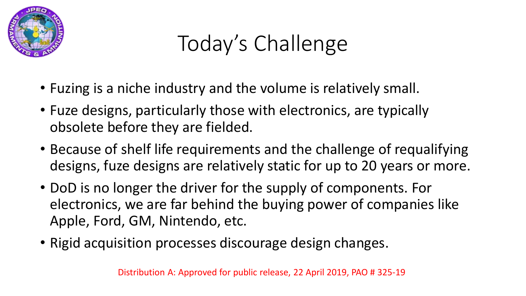

## Today's Challenge

- Fuzing is a niche industry and the volume is relatively small.
- Fuze designs, particularly those with electronics, are typically obsolete before they are fielded.
- Because of shelf life requirements and the challenge of requalifying designs, fuze designs are relatively static for up to 20 years or more.
- DoD is no longer the driver for the supply of components. For electronics, we are far behind the buying power of companies like Apple, Ford, GM, Nintendo, etc.
- Rigid acquisition processes discourage design changes.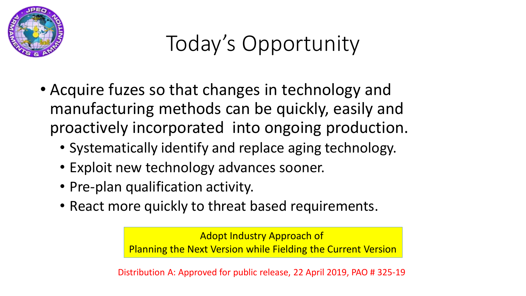

## Today's Opportunity

- Acquire fuzes so that changes in technology and manufacturing methods can be quickly, easily and proactively incorporated into ongoing production.
	- Systematically identify and replace aging technology.
	- Exploit new technology advances sooner.
	- Pre-plan qualification activity.
	- React more quickly to threat based requirements.

Adopt Industry Approach of Planning the Next Version while Fielding the Current Version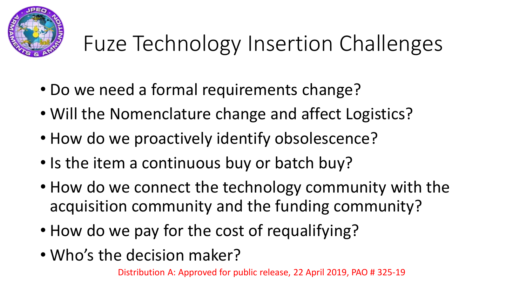

## Fuze Technology Insertion Challenges

- Do we need a formal requirements change?
- Will the Nomenclature change and affect Logistics?
- How do we proactively identify obsolescence?
- Is the item a continuous buy or batch buy?
- How do we connect the technology community with the acquisition community and the funding community?
- How do we pay for the cost of requalifying?
- Who's the decision maker?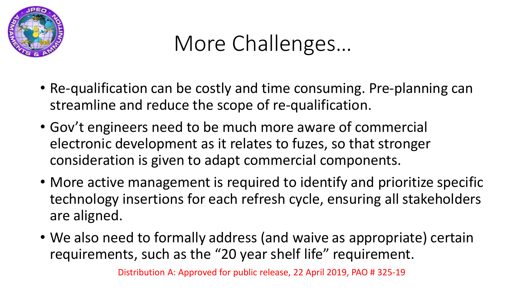

#### More Challenges…

- Re-qualification can be costly and time consuming. Pre-planning can streamline and reduce the scope of re-qualification.
- Gov't engineers need to be much more aware of commercial electronic development as it relates to fuzes, so that stronger consideration is given to adapt commercial components.
- More active management is required to identify and prioritize specific technology insertions for each refresh cycle, ensuring all stakeholders are aligned.
- We also need to formally address (and waive as appropriate) certain requirements, such as the "20 year shelf life" requirement.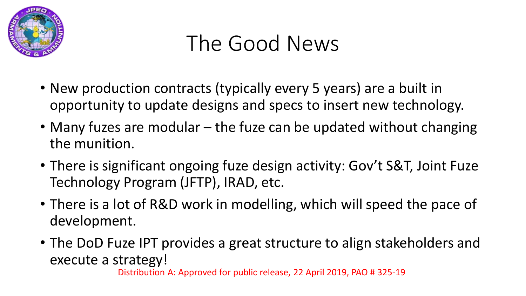

#### The Good News

- New production contracts (typically every 5 years) are a built in opportunity to update designs and specs to insert new technology.
- Many fuzes are modular the fuze can be updated without changing the munition.
- There is significant ongoing fuze design activity: Gov't S&T, Joint Fuze Technology Program (JFTP), IRAD, etc.
- There is a lot of R&D work in modelling, which will speed the pace of development.
- The DoD Fuze IPT provides a great structure to align stakeholders and execute a strategy!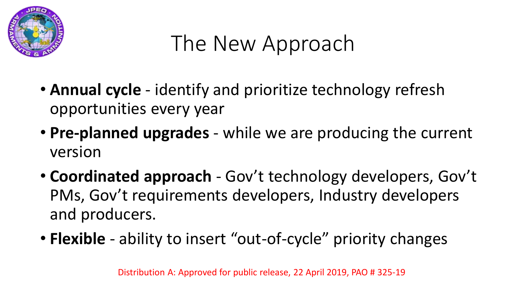

### The New Approach

- **Annual cycle**  identify and prioritize technology refresh opportunities every year
- **Pre-planned upgrades**  while we are producing the current version
- **Coordinated approach**  Gov't technology developers, Gov't PMs, Gov't requirements developers, Industry developers and producers.
- **Flexible** ability to insert "out-of-cycle" priority changes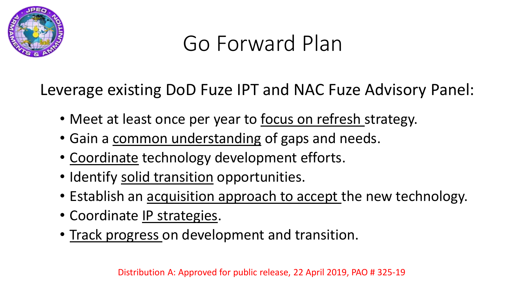

#### Go Forward Plan

Leverage existing DoD Fuze IPT and NAC Fuze Advisory Panel:

- Meet at least once per year to focus on refresh strategy.
- Gain a common understanding of gaps and needs.
- Coordinate technology development efforts.
- Identify solid transition opportunities.
- Establish an acquisition approach to accept the new technology.
- Coordinate IP strategies.
- Track progress on development and transition.